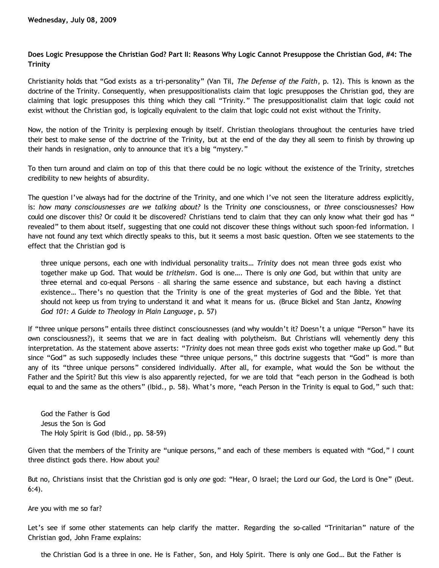## **Does Logic Presuppose the Christian God? Part II: Reasons Why Logic Cannot Presuppose the Christian God, #4: The Trinity**

Christianity holds that "God exists as a tri-personality" (Van Til, *The Defense of the Faith*, p. 12). This is known as the doctrine of the Trinity. Consequently, when presuppositionalists claim that logic presupposes the Christian god, they are claiming that logic presupposes this thing which they call "Trinity." The presuppositionalist claim that logic could not exist without the Christian god, is logically equivalent to the claim that logic could not exist without the Trinity.

Now, the notion of the Trinity is perplexing enough by itself. Christian theologians throughout the centuries have tried their best to make sense of the doctrine of the Trinity, but at the end of the day they all seem to finish by throwing up their hands in resignation, only to announce that it's a big "mystery."

To then turn around and claim on top of this that there could be no logic without the existence of the Trinity, stretches credibility to new heights of absurdity.

The question I've always had for the doctrine of the Trinity, and one which I've not seen the literature address explicitly, is: *how many consciousnesses are we talking about?* Is the Trinity *one* consciousness, or *three* consciousnesses? How could one discover this? Or could it be discovered? Christians tend to claim that they can only know what their god has " revealed" to them about itself, suggesting that one could not discover these things without such spoon-fed information. I have not found any text which directly speaks to this, but it seems a most basic question. Often we see statements to the effect that the Christian god is

three unique persons, each one with individual personality traits… *Trinity* does not mean three gods exist who together make up God. That would be *tritheism*. God is one…. There is only *one* God, but within that unity are three eternal and co-equal Persons – all sharing the same essence and substance, but each having a distinct existence… There's no question that the Trinity is one of the great mysteries of God and the Bible. Yet that should not keep us from trying to understand it and what it means for us. (Bruce Bickel and Stan Jantz, *Knowing God 101: A Guide to Theology in Plain Language*, p. 57)

If "three unique persons" entails three distinct consciousnesses (and why wouldn't it? Doesn't a unique "Person" have its own consciousness?), it seems that we are in fact dealing with polytheism. But Christians will vehemently deny this interpretation. As the statement above asserts: "*Trinity* does not mean three gods exist who together make up God." But since "God" as such supposedly includes these "three unique persons," this doctrine suggests that "God" is more than any of its "three unique persons" considered individually. After all, for example, what would the Son be without the Father and the Spirit? But this view is also apparently rejected, for we are told that "each person in the Godhead is both equal to and the same as the others" (Ibid., p. 58). What's more, "each Person in the Trinity is equal to God," such that:

God the Father is God Jesus the Son is God The Holy Spirit is God (Ibid., pp. 58-59)

Given that the members of the Trinity are "unique persons," and each of these members is equated with "God," I count three distinct gods there. How about you?

But no, Christians insist that the Christian god is only *one* god: "Hear, O Israel; the Lord our God, the Lord is One" (Deut. 6:4).

Are you with me so far?

Let's see if some other statements can help clarify the matter. Regarding the so-called "Trinitarian" nature of the Christian god, John Frame explains:

the Christian God is a three in one. He is Father, Son, and Holy Spirit. There is only one God… But the Father is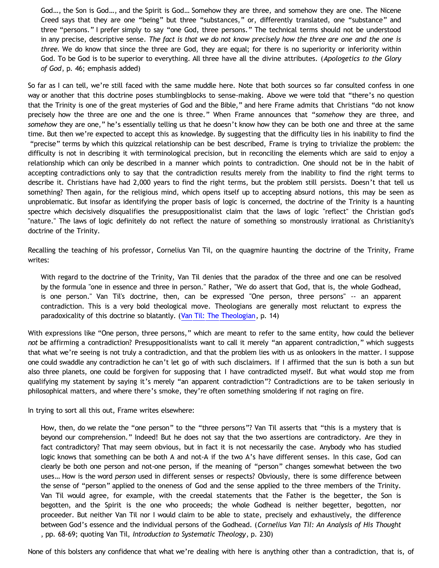God…, the Son is God…, and the Spirit is God… Somehow they are three, and somehow they are one. The Nicene Creed says that they are one "being" but three "substances," or, differently translated, one "substance" and three "persons." I prefer simply to say "one God, three persons." The technical terms should not be understood in any precise, descriptive sense. *The fact is that we do not know precisely how the three are one and the one is three.* We do know that since the three are God, they are equal; for there is no superiority or inferiority within God. To be God is to be superior to everything. All three have all the divine attributes. (*Apologetics to the Glory of God*, p. 46; emphasis added)

So far as I can tell, we're still faced with the same muddle here. Note that both sources so far consulted confess in one way or another that this doctrine poses stumblingblocks to sense-making. Above we were told that "there's no question that the Trinity is one of the great mysteries of God and the Bible," and here Frame admits that Christians "do not know precisely how the three are one and the one is three." When Frame announces that "*somehow* they are three, and *somehow* they are one," he's essentially telling us that he doesn't know how they can be both one and three at the same time. But then we're expected to accept this as knowledge. By suggesting that the difficulty lies in his inability to find the "precise" terms by which this quizzical relationship can be best described, Frame is trying to trivialize the problem: the difficulty is not in describing it with terminological precision, but in reconciling the elements which are said to enjoy a relationship which can only be described in a manner which points to contradiction. One should not be in the habit of accepting contradictions only to say that the contradiction results merely from the inability to find the right terms to describe it. Christians have had 2,000 years to find the right terms, but the problem still persists. Doesn't that tell us something? Then again, for the religious mind, which opens itself up to accepting absurd notions, this may be seen as unproblematic. But insofar as identifying the proper basis of logic is concerned, the doctrine of the Trinity is a haunting spectre which decisively disqualifies the presuppositionalist claim that the laws of logic "reflect" the Christian god's "nature." The laws of logic definitely do not reflect the nature of something so monstrously irrational as Christianity's doctrine of the Trinity.

Recalling the teaching of his professor, Cornelius Van Til, on the quagmire haunting the doctrine of the Trinity, Frame writes:

With regard to the doctrine of the Trinity, Van Til denies that the paradox of the three and one can be resolved by the formula "one in essence and three in person." Rather, "We do assert that God, that is, the whole Godhead, is one person." Van Til's doctrine, then, can be expressed "One person, three persons" -- an apparent contradiction. This is a very bold theological move. Theologians are generally most reluctant to express the paradoxicality of this doctrine so blatantly. ([Van Til: The Theologian](http://www.reformed.org/apologetics/index.html?mainframe=/apologetics/frame_vtt.html), p. 14)

With expressions like "One person, three persons," which are meant to refer to the same entity, how could the believer *not* be affirming a contradiction? Presuppositionalists want to call it merely "an apparent contradiction," which suggests that what we're seeing is not truly a contradiction, and that the problem lies with us as onlookers in the matter. I suppose one could swaddle any contradiction he can't let go of with such disclaimers. If I affirmed that the sun is both a sun but also three planets, one could be forgiven for supposing that I have contradicted myself. But what would stop me from qualifying my statement by saying it's merely "an apparent contradiction"? Contradictions are to be taken seriously in philosophical matters, and where there's smoke, they're often something smoldering if not raging on fire.

In trying to sort all this out, Frame writes elsewhere:

How, then, do we relate the "one person" to the "three persons"? Van Til asserts that "this is a mystery that is beyond our comprehension." Indeed! But he does not say that the two assertions are contradictory. Are they in fact contradictory? That may seem obvious, but in fact it is not necessarily the case. Anybody who has studied logic knows that something can be both A and not-A if the two A's have different senses. In this case, God can clearly be both one person and not-one person, if the meaning of "person" changes somewhat between the two uses… How is the word *person* used in different senses or respects? Obviously, there is some difference between the sense of "person" applied to the oneness of God and the sense applied to the three members of the Trinity. Van Til would agree, for example, with the creedal statements that the Father is the begetter, the Son is begotten, and the Spirit is the one who proceeds; the whole Godhead is neither begetter, begotten, nor proceeder. But neither Van Til nor I would claim to be able to state, precisely and exhaustively, the difference between God's essence and the individual persons of the Godhead. (*Cornelius Van Til: An Analysis of His Thought* , pp. 68-69; quoting Van Til, *Introduction to Systematic Theology*, p. 230)

None of this bolsters any confidence that what we're dealing with here is anything other than a contradiction, that is, of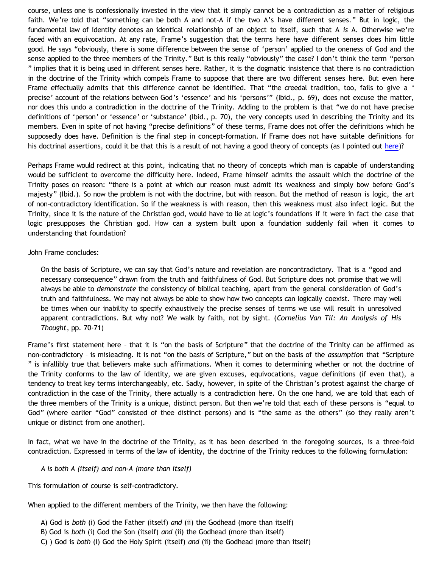course, unless one is confessionally invested in the view that it simply cannot be a contradiction as a matter of religious faith. We're told that "something can be both A and not-A if the two A's have different senses." But in logic, the fundamental law of identity denotes an identical relationship of an object to itself, such that A *is* A. Otherwise we're faced with an equivocation. At any rate, Frame's suggestion that the terms here have different senses does him little good. He says "obviously, there is some difference between the sense of 'person' applied to the oneness of God and the sense applied to the three members of the Trinity." But is this really "obviously" the case? I don't think the term "person " implies that it is being used in different senses here. Rather, it is the dogmatic insistence that there is no contradiction in the doctrine of the Trinity which compels Frame to suppose that there are two different senses here. But even here Frame effectually admits that this difference cannot be identified. That "the creedal tradition, too, fails to give a ' precise' account of the relations between God's 'essence' and his 'persons'" (Ibid., p. 69), does not excuse the matter, nor does this undo a contradiction in the doctrine of the Trinity. Adding to the problem is that "we do not have precise definitions of 'person' or 'essence' or 'substance' (Ibid., p. 70), the very concepts used in describing the Trinity and its members. Even in spite of not having "precise definitions" of these terms, Frame does not offer the definitions which he supposedly does have. Definition is the final step in concept-formation. If Frame does not have suitable definitions for his doctrinal assertions, could it be that this is a result of not having a good theory of concepts (as I pointed out [here](http://bahnsenburner.blogspot.com/2009/07/does-logic-presuppose-christian-god_04.html))?

Perhaps Frame would redirect at this point, indicating that no theory of concepts which man is capable of understanding would be sufficient to overcome the difficulty here. Indeed, Frame himself admits the assault which the doctrine of the Trinity poses on reason: "there is a point at which our reason must admit its weakness and simply bow before God's majesty" (Ibid.). So now the problem is not with the doctrine, but with reason. But the method of reason is logic, the art of non-contradictory identification. So if the weakness is with reason, then this weakness must also infect logic. But the Trinity, since it is the nature of the Christian god, would have to lie at logic's foundations if it were in fact the case that logic presupposes the Christian god. How can a system built upon a foundation suddenly fail when it comes to understanding that foundation?

## John Frame concludes:

On the basis of Scripture, we can say that God's nature and revelation are noncontradictory. That is a "good and necessary consequence" drawn from the truth and faithfulness of God. But Scripture does not promise that we will always be able to *demonstrate* the consistency of biblical teaching, apart from the general consideration of God's truth and faithfulness. We may not always be able to show how two concepts can logically coexist. There may well be times when our inability to specify exhaustively the precise senses of terms we use will result in unresolved apparent contradictions. But why not? We walk by faith, not by sight. (*Cornelius Van Til: An Analysis of His Thought*, pp. 70-71)

Frame's first statement here - that it is "on the basis of Scripture" that the doctrine of the Trinity can be affirmed as non-contradictory – is misleading. It is not "on the basis of Scripture," but on the basis of the *assumption* that "Scripture " is infallibly true that believers make such affirmations. When it comes to determining whether or not the doctrine of the Trinity conforms to the law of identity, we are given excuses, equivocations, vague definitions (if even that), a tendency to treat key terms interchangeably, etc. Sadly, however, in spite of the Christian's protest against the charge of contradiction in the case of the Trinity, there actually is a contradiction here. On the one hand, we are told that each of the three members of the Trinity is a unique, distinct person. But then we're told that each of these persons is "equal to God" (where earlier "God" consisted of thee distinct persons) and is "the same as the others" (so they really aren't unique or distinct from one another).

In fact, what we have in the doctrine of the Trinity, as it has been described in the foregoing sources, is a three-fold contradiction. Expressed in terms of the law of identity, the doctrine of the Trinity reduces to the following formulation:

## *A is both A (itself) and non-A (more than itself)*

This formulation of course is self-contradictory.

When applied to the different members of the Trinity, we then have the following:

- A) God is *both* (i) God the Father (itself) *and* (ii) the Godhead (more than itself)
- B) God is *both* (i) God the Son (itself) *and* (ii) the Godhead (more than itself)
- C) ) God is *both* (i) God the Holy Spirit (itself) *and* (ii) the Godhead (more than itself)